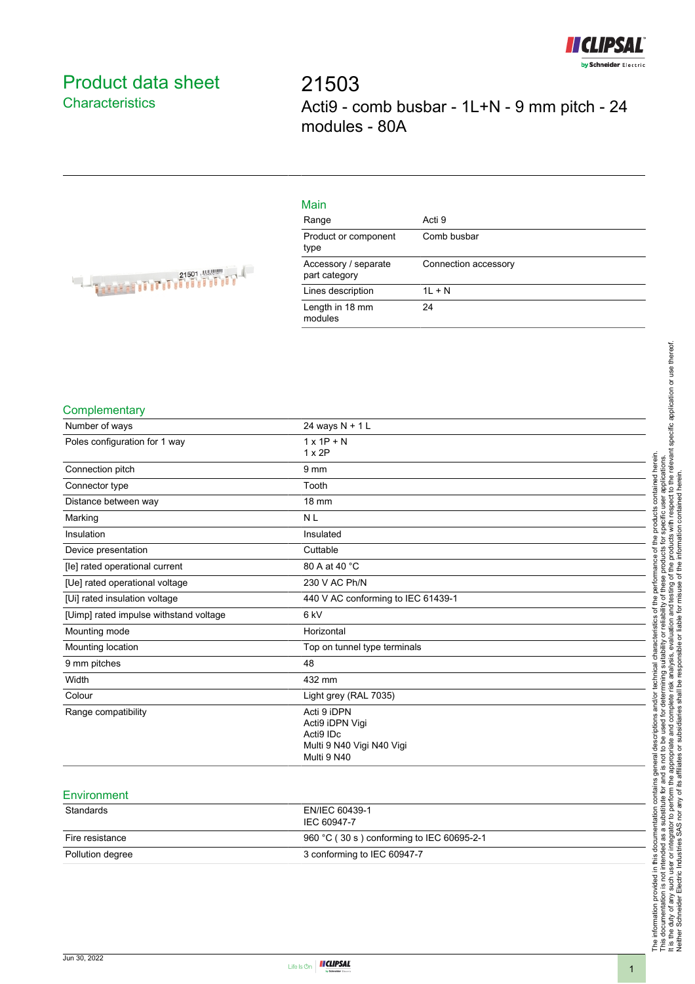

# <span id="page-0-0"></span>Product data sheet **Characteristics**

21503 Acti9 - comb busbar - 1L+N - 9 mm pitch - 24 modules - 80A

| $\sim$     |  |
|------------|--|
| ıae<br>≺ar |  |
|            |  |

Main

| Range                                 | Acti 9               |
|---------------------------------------|----------------------|
| Product or component<br>type          | Comb busbar          |
| Accessory / separate<br>part category | Connection accessory |
| Lines description                     | $1L + N$             |
| Length in 18 mm<br>modules            | 24                   |



#### **Complementary**

| Number of ways                         | 24 ways N + 1 L                           |  |
|----------------------------------------|-------------------------------------------|--|
| Poles configuration for 1 way          | $1 \times 1P + N$                         |  |
|                                        | $1 \times 2P$                             |  |
| Connection pitch                       | 9 <sub>mm</sub>                           |  |
| Connector type                         | Tooth                                     |  |
| Distance between way                   | 18 mm                                     |  |
| Marking                                | <b>NL</b>                                 |  |
| Insulation                             | Insulated                                 |  |
| Device presentation                    | Cuttable                                  |  |
| [le] rated operational current         | 80 A at 40 °C                             |  |
| [Ue] rated operational voltage         | 230 V AC Ph/N                             |  |
| [Ui] rated insulation voltage          | 440 V AC conforming to IEC 61439-1        |  |
| [Uimp] rated impulse withstand voltage | 6 <sub>kV</sub>                           |  |
| Mounting mode                          | Horizontal                                |  |
| Mounting location                      | Top on tunnel type terminals              |  |
| 9 mm pitches                           | 48                                        |  |
| Width                                  | 432 mm                                    |  |
| Colour                                 | Light grey (RAL 7035)                     |  |
| Range compatibility                    | Acti 9 iDPN                               |  |
|                                        | Acti9 iDPN Vigi                           |  |
|                                        | Acti9 IDc                                 |  |
|                                        | Multi 9 N40 Vigi N40 Vigi<br>Multi 9 N40  |  |
|                                        |                                           |  |
| Environment                            |                                           |  |
| Standards                              | EN/IEC 60439-1                            |  |
|                                        | IEC 60947-7                               |  |
| Fire resistance                        | 960 °C (30 s) conforming to IEC 60695-2-1 |  |

Pollution degree 3 conforming to IEC 60947-7

The information provided in this documentation contains general descriptions and/or technical characteristics of the performance of the products contained herein.<br>This documentation is not intended as a substitute for and It is the duty of any such user or integrator to perform the appropriate and complete risk analysis, evaluation and testing of the products with respect to the relevant specific application or use thereof. The information provided in this documentation contains general descriptions and/or technical characteristics of the performance of the products contained herein. This documentation is not intended as a substitute for and is not to be used for determining suitability or reliability of these products for specific user applications. Neither Schneider Electric Industries SAS nor any of its affiliates or subsidiaries shall be responsible or liable for misuse of the information contained herein.